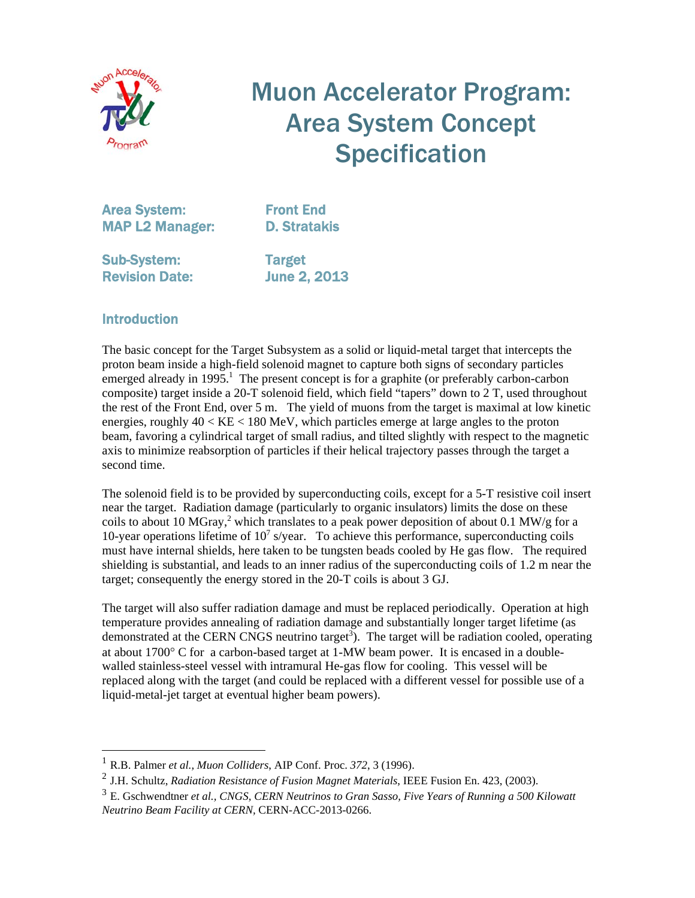

# Muon Accelerator Program: Area System Concept **Specification**

Area System: Front End MAP L2 Manager: D. Stratakis

Sub-System: Target Revision Date: June 2, 2013

#### **Introduction**

l

The basic concept for the Target Subsystem as a solid or liquid-metal target that intercepts the proton beam inside a high-field solenoid magnet to capture both signs of secondary particles emerged already in 1995.<sup>1</sup> The present concept is for a graphite (or preferably carbon-carbon composite) target inside a 20-T solenoid field, which field "tapers" down to 2 T, used throughout the rest of the Front End, over 5 m. The yield of muons from the target is maximal at low kinetic energies, roughly  $40 < KE < 180$  MeV, which particles emerge at large angles to the proton beam, favoring a cylindrical target of small radius, and tilted slightly with respect to the magnetic axis to minimize reabsorption of particles if their helical trajectory passes through the target a second time.

The solenoid field is to be provided by superconducting coils, except for a 5-T resistive coil insert near the target. Radiation damage (particularly to organic insulators) limits the dose on these coils to about 10 MGray,<sup>2</sup> which translates to a peak power deposition of about 0.1 MW/g for a 10-year operations lifetime of  $10<sup>7</sup>$  s/year. To achieve this performance, superconducting coils must have internal shields, here taken to be tungsten beads cooled by He gas flow. The required shielding is substantial, and leads to an inner radius of the superconducting coils of 1.2 m near the target; consequently the energy stored in the 20-T coils is about 3 GJ.

The target will also suffer radiation damage and must be replaced periodically. Operation at high temperature provides annealing of radiation damage and substantially longer target lifetime (as demonstrated at the CERN CNGS neutrino target<sup>3</sup>). The target will be radiation cooled, operating at about  $1700^{\circ}$  C for a carbon-based target at 1-MW beam power. It is encased in a doublewalled stainless-steel vessel with intramural He-gas flow for cooling. This vessel will be replaced along with the target (and could be replaced with a different vessel for possible use of a liquid-metal-jet target at eventual higher beam powers).

<sup>1</sup> R.B. Palmer *et al., Muon Colliders*, AIP Conf. Proc. *372*, 3 (1996).

<sup>2</sup> J.H. Schultz, *Radiation Resistance of Fusion Magnet Materials*, IEEE Fusion En. 423, (2003).

<sup>3</sup> E. Gschwendtner *et al., CNGS, CERN Neutrinos to Gran Sasso, Five Years of Running a 500 Kilowatt Neutrino Beam Facility at CERN,* CERN-ACC-2013-0266.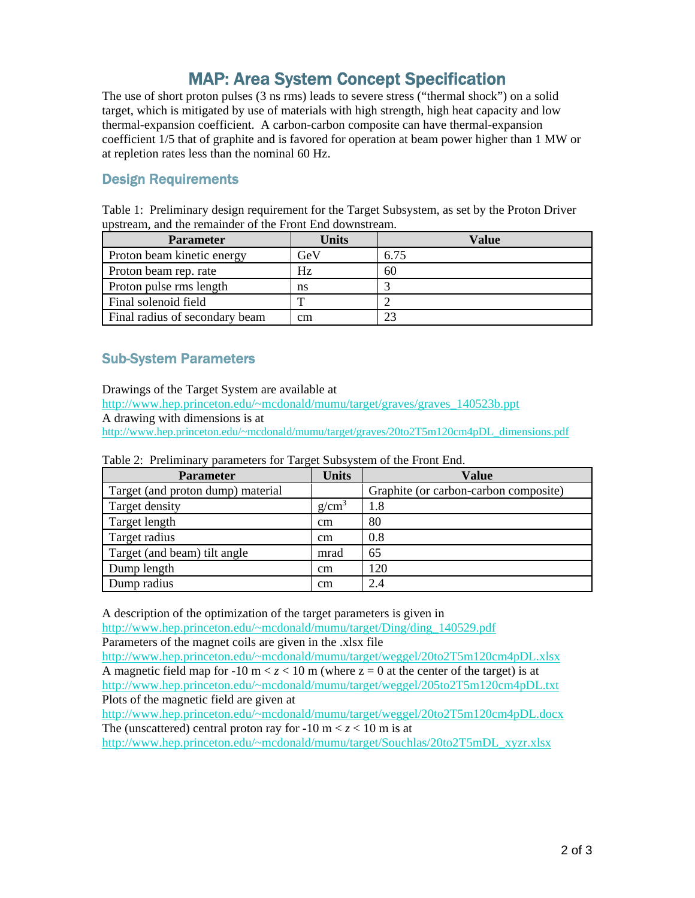## MAP: Area System Concept Specification

The use of short proton pulses (3 ns rms) leads to severe stress ("thermal shock") on a solid target, which is mitigated by use of materials with high strength, high heat capacity and low thermal-expansion coefficient. A carbon-carbon composite can have thermal-expansion coefficient 1/5 that of graphite and is favored for operation at beam power higher than 1 MW or at repletion rates less than the nominal 60 Hz.

#### Design Requirements

Table 1: Preliminary design requirement for the Target Subsystem, as set by the Proton Driver upstream, and the remainder of the Front End downstream.

| <b>Parameter</b>               | Units        | Value |
|--------------------------------|--------------|-------|
| Proton beam kinetic energy     | GeV          | 6.75  |
| Proton beam rep. rate          | Hz           | 60    |
| Proton pulse rms length        | ns           |       |
| Final solenoid field           | $\mathbf{r}$ |       |
| Final radius of secondary beam | cm           | 23    |

#### Sub-System Parameters

Drawings of the Target System are available at

http://www.hep.princeton.edu/~mcdonald/mumu/target/graves/graves\_140523b.ppt

A drawing with dimensions is at

http://www.hep.princeton.edu/~mcdonald/mumu/target/graves/20to2T5m120cm4pDL\_dimensions.pdf

| <b>Parameter</b>                  | <b>Units</b>      | <b>Value</b>                          |  |
|-----------------------------------|-------------------|---------------------------------------|--|
| Target (and proton dump) material |                   | Graphite (or carbon-carbon composite) |  |
| Target density                    | g/cm <sup>3</sup> | 1.8                                   |  |
| Target length                     | $\rm cm$          | 80                                    |  |
| Target radius                     | $\rm cm$          | 0.8                                   |  |
| Target (and beam) tilt angle      | mrad              | 65                                    |  |
| Dump length                       | $\rm cm$          | 120                                   |  |
| Dump radius                       | $\rm cm$          | 2.4                                   |  |

Table 2: Preliminary parameters for Target Subsystem of the Front End.

A description of the optimization of the target parameters is given in

http://www.hep.princeton.edu/~mcdonald/mumu/target/Ding/ding\_140529.pdf Parameters of the magnet coils are given in the .xlsx file

http://www.hep.princeton.edu/~mcdonald/mumu/target/weggel/20to2T5m120cm4pDL.xlsx A magnetic field map for  $-10 \text{ m} < z < 10 \text{ m}$  (where  $z = 0$  at the center of the target) is at http://www.hep.princeton.edu/~mcdonald/mumu/target/weggel/205to2T5m120cm4pDL.txt Plots of the magnetic field are given at

http://www.hep.princeton.edu/~mcdonald/mumu/target/weggel/20to2T5m120cm4pDL.docx The (unscattered) central proton ray for  $-10 \text{ m} < z < 10 \text{ m}$  is at

http://www.hep.princeton.edu/~mcdonald/mumu/target/Souchlas/20to2T5mDL\_xyzr.xlsx